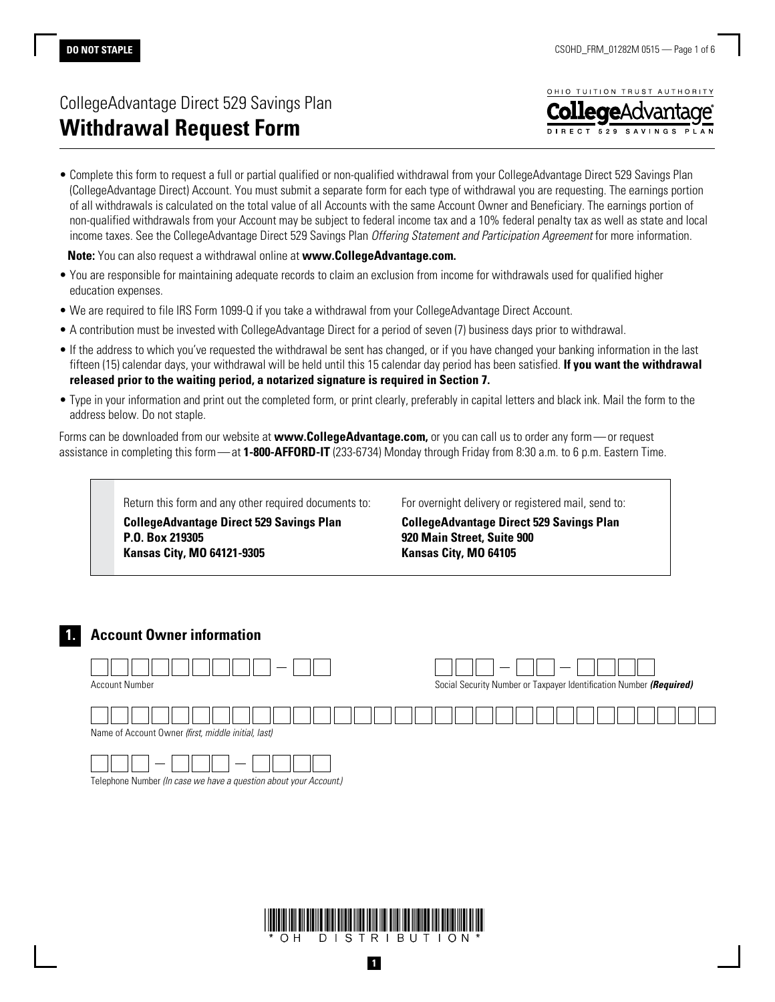# CollegeAdvantage Direct 529 Savings Plan **Withdrawal Request Form**



• Complete this form to request a full or partial qualified or non-qualified withdrawal from your CollegeAdvantage Direct 529 Savings Plan (CollegeAdvantage Direct) Account. You must submit a separate form for each type of withdrawal you are requesting. The earnings portion of all withdrawals is calculated on the total value of all Accounts with the same Account Owner and Beneficiary. The earnings portion of non-qualified withdrawals from your Account may be subject to federal income tax and a 10% federal penalty tax as well as state and local income taxes. See the CollegeAdvantage Direct 529 Savings Plan *Offering Statement and Participation Agreement* for more information.

**Note:** You can also request a withdrawal online at **www.CollegeAdvantage.com.**

- You are responsible for maintaining adequate records to claim an exclusion from income for withdrawals used for qualified higher education expenses.
- We are required to file IRS Form 1099-Q if you take a withdrawal from your CollegeAdvantage Direct Account.
- A contribution must be invested with CollegeAdvantage Direct for a period of seven (7) business days prior to withdrawal.
- If the address to which you've requested the withdrawal be sent has changed, or if you have changed your banking information in the last fifteen (15) calendar days, your withdrawal will be held until this 15 calendar day period has been satisfied. **If you want the withdrawal released prior to the waiting period, a notarized signature is required in Section 7.**
- Type in your information and print out the completed form, or print clearly, preferably in capital letters and black ink. Mail the form to the address below. Do not staple.

Forms can be downloaded from our website at **www.CollegeAdvantage.com,** or you can call us to order any form—or request assistance in completing this form—at **1-800-AFFORD-IT** (233-6734) Monday through Friday from 8:30 a.m. to 6 p.m. Eastern Time.

> Return this form and any other required documents to: **CollegeAdvantage Direct 529 Savings Plan P.O. Box 219305 Kansas City, MO 64121-9305**

For overnight delivery or registered mail, send to:

**CollegeAdvantage Direct 529 Savings Plan 920 Main Street, Suite 900 Kansas City, MO 64105**

# **1. Account Owner information**



Telephone Number *(In case we have a question about your Account.)*

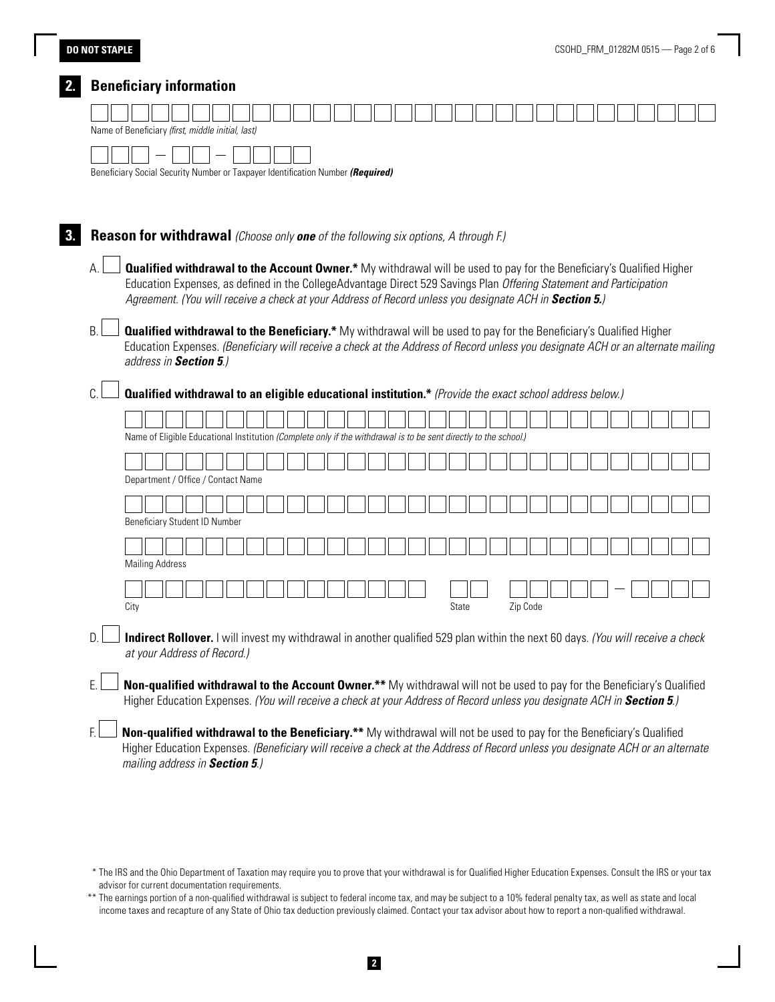# **DO NOT STAPLE**

|    | Beneficiary Social Security Number or Taxpayer Identification Number (Required)                                                                                                                                                                                                                                                                              |
|----|--------------------------------------------------------------------------------------------------------------------------------------------------------------------------------------------------------------------------------------------------------------------------------------------------------------------------------------------------------------|
|    | Reason for withdrawal (Choose only one of the following six options, A through F.)                                                                                                                                                                                                                                                                           |
| А. | <b>Qualified withdrawal to the Account Owner.*</b> My withdrawal will be used to pay for the Beneficiary's Qualified Higher<br>Education Expenses, as defined in the CollegeAdvantage Direct 529 Savings Plan Offering Statement and Participation<br>Agreement. (You will receive a check at your Address of Record unless you designate ACH in Section 5.) |
| B. | <b>Qualified withdrawal to the Beneficiary.*</b> My withdrawal will be used to pay for the Beneficiary's Qualified Higher<br>Education Expenses. (Beneficiary will receive a check at the Address of Record unless you designate ACH or an alternate mailing<br>address in Section 5.)                                                                       |
| C. | Qualified withdrawal to an eligible educational institution.* (Provide the exact school address below.)                                                                                                                                                                                                                                                      |
|    | Name of Eligible Educational Institution (Complete only if the withdrawal is to be sent directly to the school.)                                                                                                                                                                                                                                             |
|    | Department / Office / Contact Name                                                                                                                                                                                                                                                                                                                           |
|    | <b>Beneficiary Student ID Number</b>                                                                                                                                                                                                                                                                                                                         |
|    | <b>Mailing Address</b>                                                                                                                                                                                                                                                                                                                                       |
|    | City<br>State<br>Zip Code                                                                                                                                                                                                                                                                                                                                    |
| D. | Indirect Rollover. I will invest my withdrawal in another qualified 529 plan within the next 60 days. (You will receive a check<br>at your Address of Record.)                                                                                                                                                                                               |
| E. | Non-qualified withdrawal to the Account Owner.** My withdrawal will not be used to pay for the Beneficiary's Qualified                                                                                                                                                                                                                                       |

 <sup>\*</sup> The IRS and the Ohio Department of Taxation may require you to prove that your withdrawal is for Qualified Higher Education Expenses. Consult the IRS or your tax advisor for current documentation requirements.

<sup>\*\*</sup> The earnings portion of a non-qualified withdrawal is subject to federal income tax, and may be subject to a 10% federal penalty tax, as well as state and local income taxes and recapture of any State of Ohio tax deduction previously claimed. Contact your tax advisor about how to report a non-qualified withdrawal.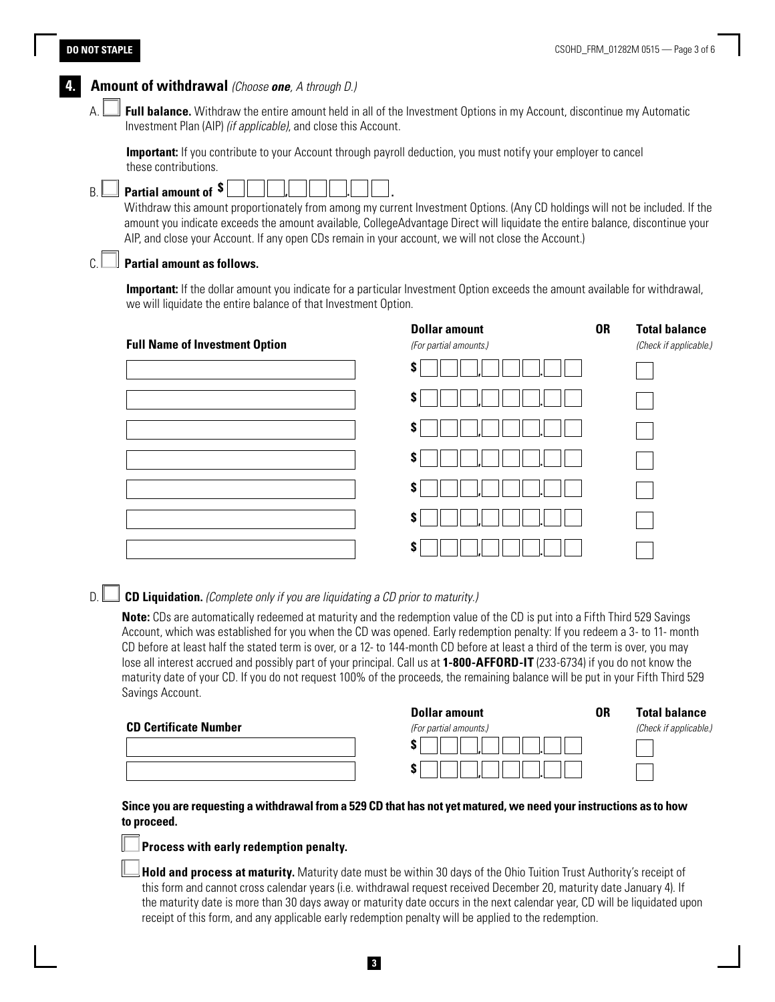# **DO NOT STAPLE**



# D. **CD Liquidation.** *(Complete only if you are liquidating a CD prior to maturity.)*

**Note:** CDs are automatically redeemed at maturity and the redemption value of the CD is put into a Fifth Third 529 Savings Account, which was established for you when the CD was opened. Early redemption penalty: If you redeem a 3- to 11- month CD before at least half the stated term is over, or a 12- to 144-month CD before at least a third of the term is over, you may lose all interest accrued and possibly part of your principal. Call us at **1-800-AFFORD-IT** (233-6734) if you do not know the maturity date of your CD. If you do not request 100% of the proceeds, the remaining balance will be put in your Fifth Third 529 Savings Account.

|                              | <b>Dollar amount</b>   | 0R | <b>Total balance</b>   |  |
|------------------------------|------------------------|----|------------------------|--|
| <b>CD Certificate Number</b> | (For partial amounts.) |    | (Check if applicable.) |  |
|                              |                        |    |                        |  |
|                              |                        |    |                        |  |

# **Since you are requesting a withdrawal from a 529 CD that has not yet matured, we need your instructions as to how to proceed.**

## **Process with early redemption penalty.**

**Hold and process at maturity.** Maturity date must be within 30 days of the Ohio Tuition Trust Authority's receipt of this form and cannot cross calendar years (i.e. withdrawal request received December 20, maturity date January 4). If the maturity date is more than 30 days away or maturity date occurs in the next calendar year, CD will be liquidated upon receipt of this form, and any applicable early redemption penalty will be applied to the redemption.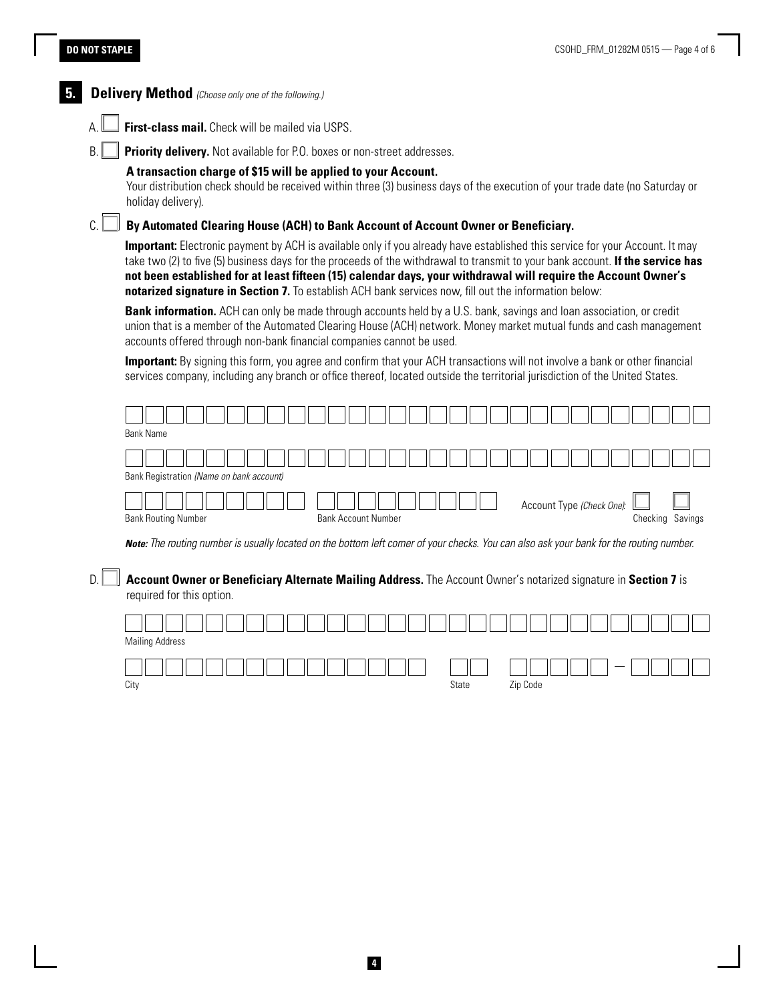#### **DO NOT STAPLE**



**5. Delivery Method** *(Choose only one of the following.)*

A. **First-class mail.** Check will be mailed via USPS.

B. **Priority delivery.** Not available for P.O. boxes or non-street addresses.

#### **A transaction charge of \$15 will be applied to your Account.**

Your distribution check should be received within three (3) business days of the execution of your trade date (no Saturday or holiday delivery).

# C. **By Automated Clearing House (ACH) to Bank Account of Account Owner or Beneficiary.**

**Important:** Electronic payment by ACH is available only if you already have established this service for your Account. It may take two (2) to five (5) business days for the proceeds of the withdrawal to transmit to your bank account. **If the service has not been established for at least fifteen (15) calendar days, your withdrawal will require the Account Owner's notarized signature in Section 7.** To establish ACH bank services now, fill out the information below:

**Bank information.** ACH can only be made through accounts held by a U.S. bank, savings and loan association, or credit union that is a member of the Automated Clearing House (ACH) network. Money market mutual funds and cash management accounts offered through non-bank financial companies cannot be used.

**Important:** By signing this form, you agree and confirm that your ACH transactions will not involve a bank or other financial services company, including any branch or office thereof, located outside the territorial jurisdiction of the United States.



*Note: The routing number is usually located on the bottom left corner of your checks. You can also ask your bank for the routing number.*

# D. **Account Owner or Beneficiary Alternate Mailing Address.** The Account Owner's notarized signature in **Section 7** is required for this option.

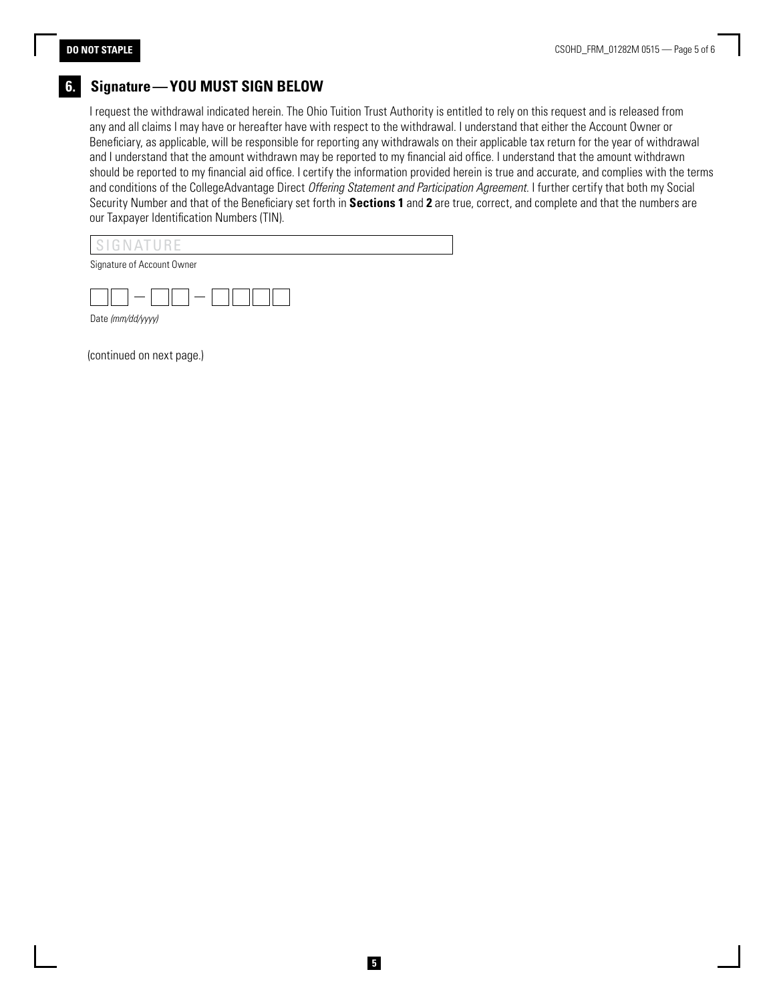# **6. Signature—YOU MUST SIGN BELOW**

I request the withdrawal indicated herein. The Ohio Tuition Trust Authority is entitled to rely on this request and is released from any and all claims I may have or hereafter have with respect to the withdrawal. I understand that either the Account Owner or Beneficiary, as applicable, will be responsible for reporting any withdrawals on their applicable tax return for the year of withdrawal and I understand that the amount withdrawn may be reported to my financial aid office. I understand that the amount withdrawn should be reported to my financial aid office. I certify the information provided herein is true and accurate, and complies with the terms and conditions of the CollegeAdvantage Direct *Offering Statement and Participation Agreement*. I further certify that both my Social Security Number and that of the Beneficiary set forth in **Sections 1** and **2** are true, correct, and complete and that the numbers are our Taxpayer Identification Numbers (TIN).



Signature of Account Owner



(continued on next page.)